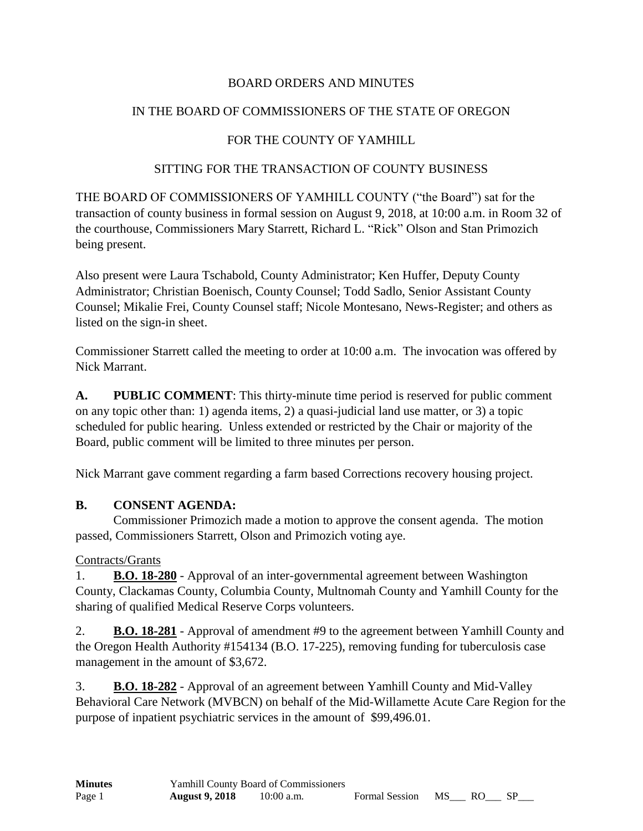### BOARD ORDERS AND MINUTES

### IN THE BOARD OF COMMISSIONERS OF THE STATE OF OREGON

### FOR THE COUNTY OF YAMHILL

#### SITTING FOR THE TRANSACTION OF COUNTY BUSINESS

THE BOARD OF COMMISSIONERS OF YAMHILL COUNTY ("the Board") sat for the transaction of county business in formal session on August 9, 2018, at 10:00 a.m. in Room 32 of the courthouse, Commissioners Mary Starrett, Richard L. "Rick" Olson and Stan Primozich being present.

Also present were Laura Tschabold, County Administrator; Ken Huffer, Deputy County Administrator; Christian Boenisch, County Counsel; Todd Sadlo, Senior Assistant County Counsel; Mikalie Frei, County Counsel staff; Nicole Montesano, News-Register; and others as listed on the sign-in sheet.

Commissioner Starrett called the meeting to order at 10:00 a.m. The invocation was offered by Nick Marrant.

**A. PUBLIC COMMENT**: This thirty-minute time period is reserved for public comment on any topic other than: 1) agenda items, 2) a quasi-judicial land use matter, or 3) a topic scheduled for public hearing. Unless extended or restricted by the Chair or majority of the Board, public comment will be limited to three minutes per person.

Nick Marrant gave comment regarding a farm based Corrections recovery housing project.

### **B. CONSENT AGENDA:**

Commissioner Primozich made a motion to approve the consent agenda. The motion passed, Commissioners Starrett, Olson and Primozich voting aye.

### Contracts/Grants

1. **B.O. 18-280** - Approval of an inter-governmental agreement between Washington County, Clackamas County, Columbia County, Multnomah County and Yamhill County for the sharing of qualified Medical Reserve Corps volunteers.

2. **B.O. 18-281** - Approval of amendment #9 to the agreement between Yamhill County and the Oregon Health Authority #154134 (B.O. 17-225), removing funding for tuberculosis case management in the amount of \$3,672.

3. **B.O. 18-282** - Approval of an agreement between Yamhill County and Mid-Valley Behavioral Care Network (MVBCN) on behalf of the Mid-Willamette Acute Care Region for the purpose of inpatient psychiatric services in the amount of \$99,496.01.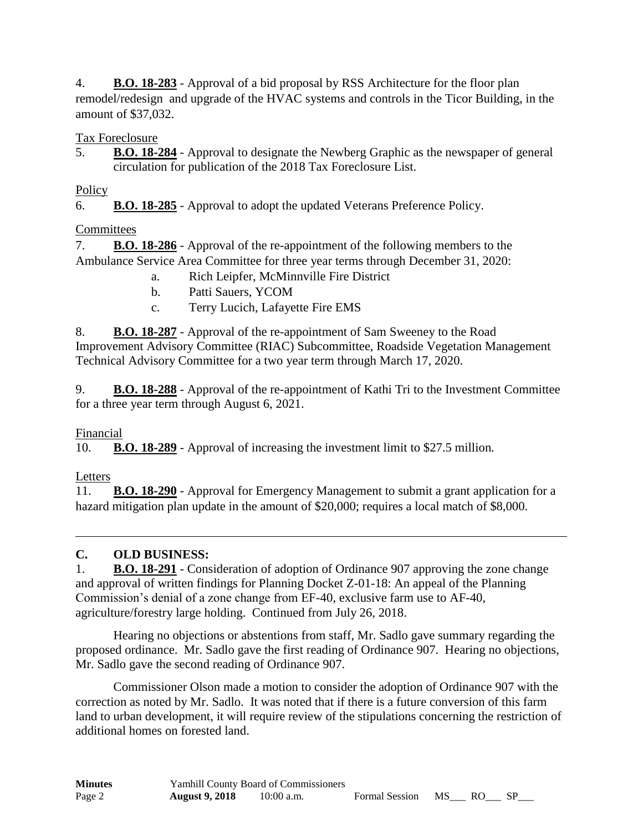4. **B.O. 18-283** - Approval of a bid proposal by RSS Architecture for the floor plan remodel/redesign and upgrade of the HVAC systems and controls in the Ticor Building, in the amount of \$37,032.

Tax Foreclosure

5. **B.O. 18-284** - Approval to designate the Newberg Graphic as the newspaper of general circulation for publication of the 2018 Tax Foreclosure List.

### **Policy**

6. **B.O. 18-285** - Approval to adopt the updated Veterans Preference Policy.

## **Committees**

7. **B.O. 18-286** - Approval of the re-appointment of the following members to the Ambulance Service Area Committee for three year terms through December 31, 2020:

- a. Rich Leipfer, McMinnville Fire District
- b. Patti Sauers, YCOM
- c. Terry Lucich, Lafayette Fire EMS

8. **B.O. 18-287** - Approval of the re-appointment of Sam Sweeney to the Road Improvement Advisory Committee (RIAC) Subcommittee, Roadside Vegetation Management Technical Advisory Committee for a two year term through March 17, 2020.

9. **B.O. 18-288** - Approval of the re-appointment of Kathi Tri to the Investment Committee for a three year term through August 6, 2021.

### Financial

10. **B.O. 18-289** - Approval of increasing the investment limit to \$27.5 million.

## Letters

11. **B.O. 18-290** - Approval for Emergency Management to submit a grant application for a hazard mitigation plan update in the amount of \$20,000; requires a local match of \$8,000.

## **C. OLD BUSINESS:**

1. **B.O. 18-291** - Consideration of adoption of Ordinance 907 approving the zone change and approval of written findings for Planning Docket Z-01-18: An appeal of the Planning Commission's denial of a zone change from EF-40, exclusive farm use to AF-40, agriculture/forestry large holding. Continued from July 26, 2018.

Hearing no objections or abstentions from staff, Mr. Sadlo gave summary regarding the proposed ordinance. Mr. Sadlo gave the first reading of Ordinance 907. Hearing no objections, Mr. Sadlo gave the second reading of Ordinance 907.

Commissioner Olson made a motion to consider the adoption of Ordinance 907 with the correction as noted by Mr. Sadlo. It was noted that if there is a future conversion of this farm land to urban development, it will require review of the stipulations concerning the restriction of additional homes on forested land.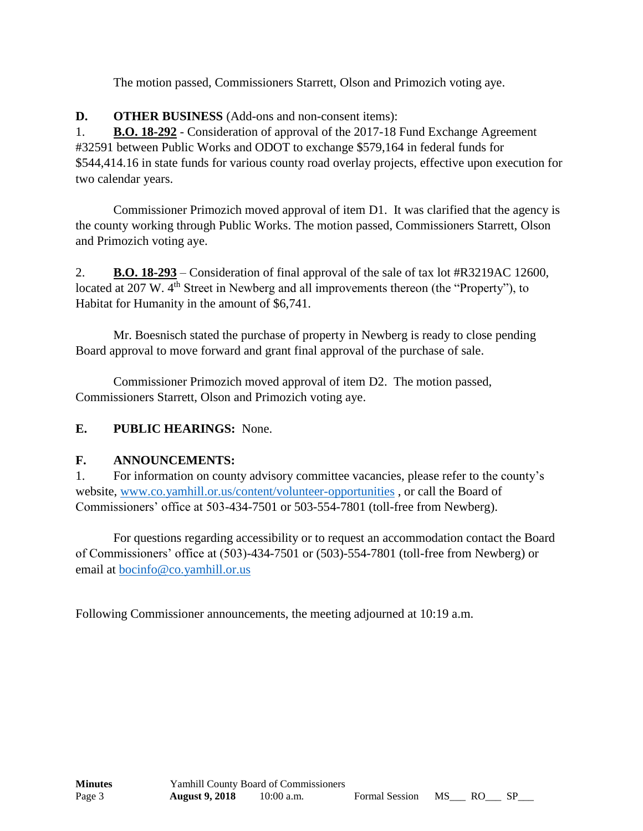The motion passed, Commissioners Starrett, Olson and Primozich voting aye.

**D. OTHER BUSINESS** (Add-ons and non-consent items):

1. **B.O. 18-292** - Consideration of approval of the 2017-18 Fund Exchange Agreement #32591 between Public Works and ODOT to exchange \$579,164 in federal funds for \$544,414.16 in state funds for various county road overlay projects, effective upon execution for two calendar years.

Commissioner Primozich moved approval of item D1. It was clarified that the agency is the county working through Public Works. The motion passed, Commissioners Starrett, Olson and Primozich voting aye.

2. **B.O. 18-293** – Consideration of final approval of the sale of tax lot #R3219AC 12600, located at 207 W. 4<sup>th</sup> Street in Newberg and all improvements thereon (the "Property"), to Habitat for Humanity in the amount of \$6,741.

Mr. Boesnisch stated the purchase of property in Newberg is ready to close pending Board approval to move forward and grant final approval of the purchase of sale.

Commissioner Primozich moved approval of item D2. The motion passed, Commissioners Starrett, Olson and Primozich voting aye.

## **E. PUBLIC HEARINGS:** None.

### **F. ANNOUNCEMENTS:**

1. For information on county advisory committee vacancies, please refer to the county's website, [www.co.yamhill.or.us/content/volunteer-opportunities](http://www.co.yamhill.or.us/content/volunteer-opportunities) , or call the Board of Commissioners' office at 503-434-7501 or 503-554-7801 (toll-free from Newberg).

For questions regarding accessibility or to request an accommodation contact the Board of Commissioners' office at (503)-434-7501 or (503)-554-7801 (toll-free from Newberg) or email at [bocinfo@co.yamhill.or.us](mailto:bocinfo@co.yamhill.or.us)

Following Commissioner announcements, the meeting adjourned at 10:19 a.m.